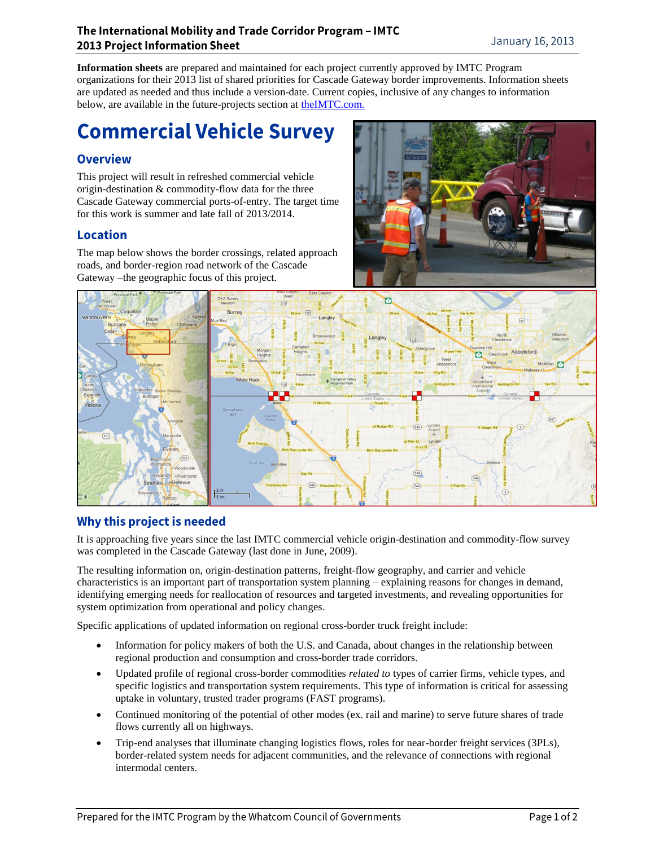#### The International Mobility and Trade Corridor Program - IMTC **2013 Project Information Sheet**

**Information sheets** are prepared and maintained for each project currently approved by IMTC Program organizations for their 2013 list of shared priorities for Cascade Gateway border improvements. Information sheets are updated as needed and thus include a version-date. Current copies, inclusive of any changes to information below, are available in the future-projects section at the IMTC.com.

# **Commercial Vehicle Survey**

## **Overview**

This project will result in refreshed commercial vehicle origin-destination & commodity-flow data for the three Cascade Gateway commercial ports-of-entry. The target time for this work is summer and late fall of 2013/2014.

## **Location**

The map below shows the border crossings, related approach roads, and border-region road network of the Cascade Gateway –the geographic focus of this project.





# Why this project is needed

It is approaching five years since the last IMTC commercial vehicle origin-destination and commodity-flow survey was completed in the Cascade Gateway (last done in June, 2009).

The resulting information on, origin-destination patterns, freight-flow geography, and carrier and vehicle characteristics is an important part of transportation system planning – explaining reasons for changes in demand, identifying emerging needs for reallocation of resources and targeted investments, and revealing opportunities for system optimization from operational and policy changes.

Specific applications of updated information on regional cross-border truck freight include:

- Information for policy makers of both the U.S. and Canada, about changes in the relationship between regional production and consumption and cross-border trade corridors.
- Updated profile of regional cross-border commodities *related to* types of carrier firms, vehicle types, and specific logistics and transportation system requirements. This type of information is critical for assessing uptake in voluntary, trusted trader programs (FAST programs).
- Continued monitoring of the potential of other modes (ex. rail and marine) to serve future shares of trade flows currently all on highways.
- Trip-end analyses that illuminate changing logistics flows, roles for near-border freight services (3PLs), border-related system needs for adjacent communities, and the relevance of connections with regional intermodal centers.